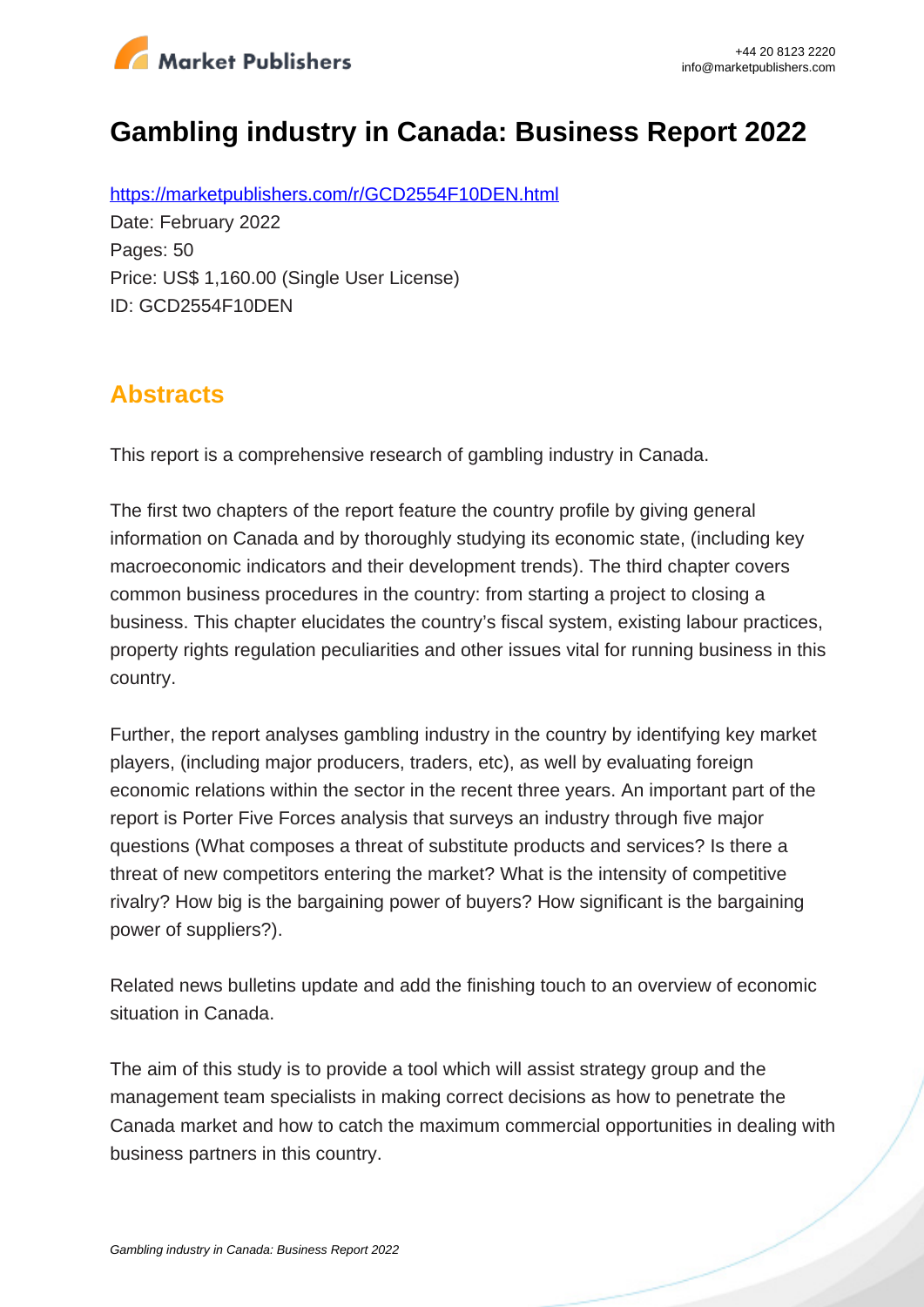

# **Gambling industry in Canada: Business Report 2022**

https://marketpublishers.com/r/GCD2554F10DEN.html Date: February 2022 Pages: 50 Price: US\$ 1,160.00 (Single User License) ID: GCD2554F10DEN

## **Abstracts**

This report is a comprehensive research of gambling industry in Canada.

The first two chapters of the report feature the country profile by giving general information on Canada and by thoroughly studying its economic state, (including key macroeconomic indicators and their development trends). The third chapter covers common business procedures in the country: from starting a project to closing a business. This chapter elucidates the country's fiscal system, existing labour practices, property rights regulation peculiarities and other issues vital for running business in this country.

Further, the report analyses gambling industry in the country by identifying key market players, (including major producers, traders, etc), as well by evaluating foreign economic relations within the sector in the recent three years. An important part of the report is Porter Five Forces analysis that surveys an industry through five major questions (What composes a threat of substitute products and services? Is there a threat of new competitors entering the market? What is the intensity of competitive rivalry? How big is the bargaining power of buyers? How significant is the bargaining power of suppliers?).

Related news bulletins update and add the finishing touch to an overview of economic situation in Canada.

The aim of this study is to provide a tool which will assist strategy group and the management team specialists in making correct decisions as how to penetrate the Canada market and how to catch the maximum commercial opportunities in dealing with business partners in this country.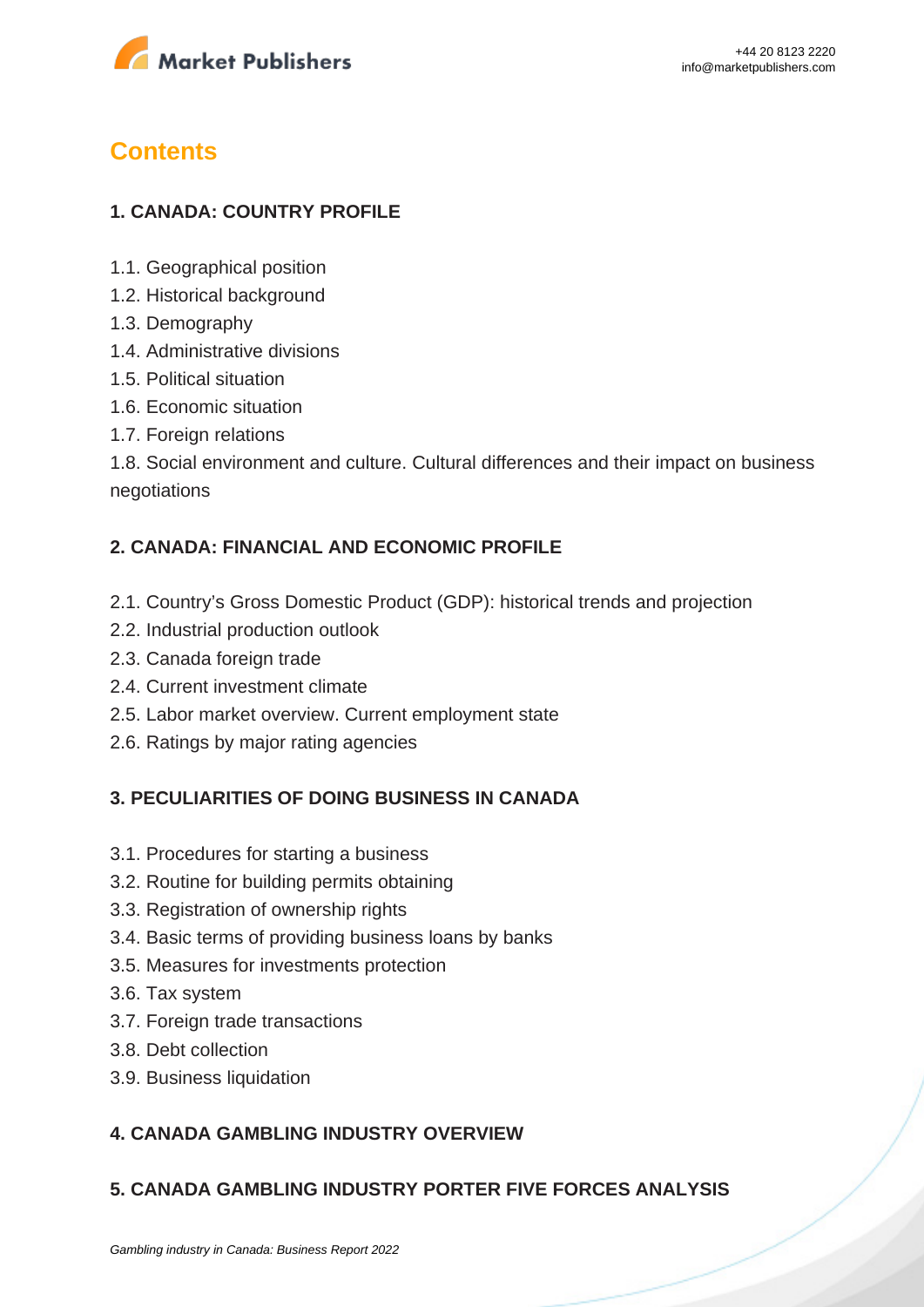

## **Contents**

## **1. CANADA: COUNTRY PROFILE**

- 1.1. Geographical position
- 1.2. Historical background
- 1.3. Demography
- 1.4. Administrative divisions
- 1.5. Political situation
- 1.6. Economic situation
- 1.7. Foreign relations

1.8. Social environment and culture. Cultural differences and their impact on business negotiations

### **2. CANADA: FINANCIAL AND ECONOMIC PROFILE**

- 2.1. Country's Gross Domestic Product (GDP): historical trends and projection
- 2.2. Industrial production outlook
- 2.3. Canada foreign trade
- 2.4. Current investment climate
- 2.5. Labor market overview. Current employment state
- 2.6. Ratings by major rating agencies

#### **3. PECULIARITIES OF DOING BUSINESS IN CANADA**

- 3.1. Procedures for starting a business
- 3.2. Routine for building permits obtaining
- 3.3. Registration of ownership rights
- 3.4. Basic terms of providing business loans by banks
- 3.5. Measures for investments protection
- 3.6. Tax system
- 3.7. Foreign trade transactions
- 3.8. Debt collection
- 3.9. Business liquidation

### **4. CANADA GAMBLING INDUSTRY OVERVIEW**

#### **5. CANADA GAMBLING INDUSTRY PORTER FIVE FORCES ANALYSIS**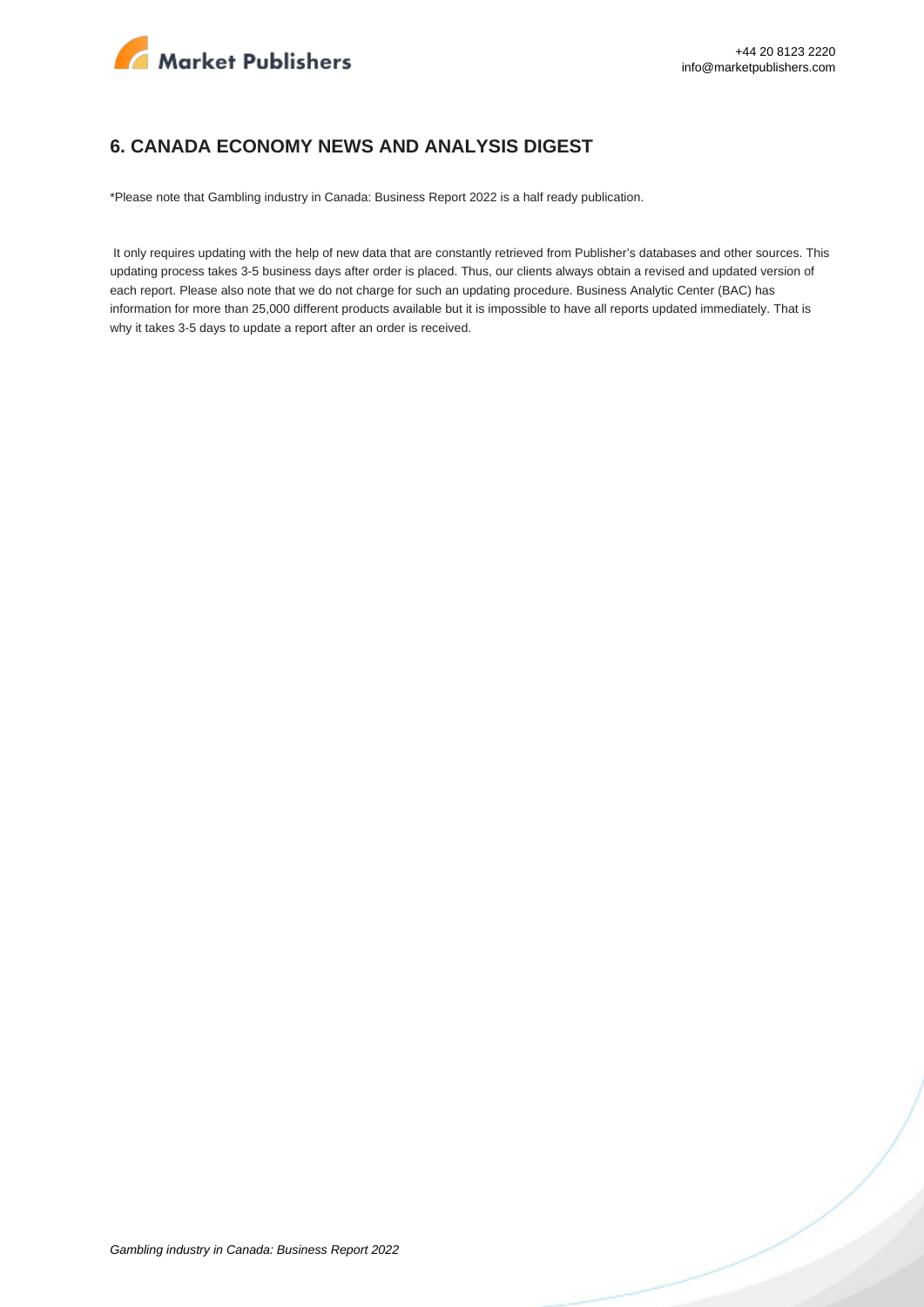

#### **6. CANADA ECONOMY NEWS AND ANALYSIS DIGEST**

\*Please note that Gambling industry in Canada: Business Report 2022 is a half ready publication.

 It only requires updating with the help of new data that are constantly retrieved from Publisher's databases and other sources. This updating process takes 3-5 business days after order is placed. Thus, our clients always obtain a revised and updated version of each report. Please also note that we do not charge for such an updating procedure. Business Analytic Center (BAC) has information for more than 25,000 different products available but it is impossible to have all reports updated immediately. That is why it takes 3-5 days to update a report after an order is received.